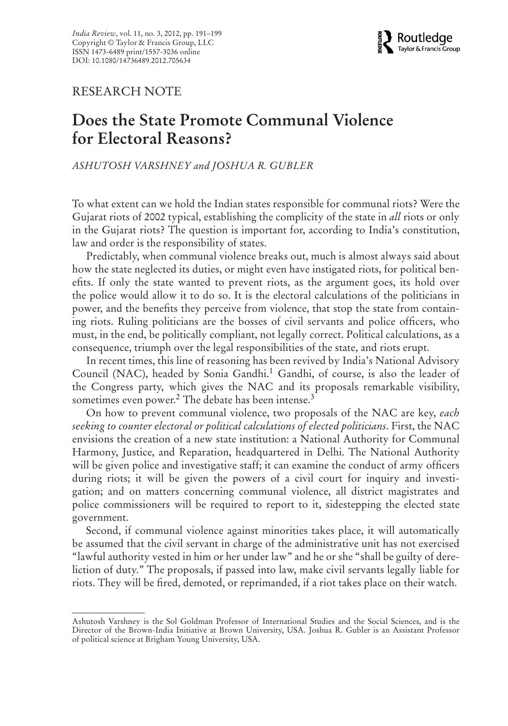

# RESEARCH NOTE

# **Does the State Promote Communal Violence for Electoral Reasons?**

# *ASHUTOSH VARSHNEY and JOSHUA R. GUBLER*

To what extent can we hold the Indian states responsible for communal riots? Were the Gujarat riots of 2002 typical, establishing the complicity of the state in *all* riots or only in the Gujarat riots? The question is important for, according to India's constitution, law and order is the responsibility of states.

Predictably, when communal violence breaks out, much is almost always said about how the state neglected its duties, or might even have instigated riots, for political benefits. If only the state wanted to prevent riots, as the argument goes, its hold over the police would allow it to do so. It is the electoral calculations of the politicians in power, and the benefits they perceive from violence, that stop the state from containing riots. Ruling politicians are the bosses of civil servants and police officers, who must, in the end, be politically compliant, not legally correct. Political calculations, as a consequence, triumph over the legal responsibilities of the state, and riots erupt.

In recent times, this line of reasoning has been revived by India's National Advisory Council (NAC), headed by Sonia Gandhi.<sup>1</sup> Gandhi, of course, is also the leader of the Congress party, which gives the NAC and its proposals remarkable visibility, sometimes even power.<sup>2</sup> The debate has been intense.<sup>3</sup>

On how to prevent communal violence, two proposals of the NAC are key, *each seeking to counter electoral or political calculations of elected politicians*. First, the NAC envisions the creation of a new state institution: a National Authority for Communal Harmony, Justice, and Reparation, headquartered in Delhi. The National Authority will be given police and investigative staff; it can examine the conduct of army officers during riots; it will be given the powers of a civil court for inquiry and investigation; and on matters concerning communal violence, all district magistrates and police commissioners will be required to report to it, sidestepping the elected state government.

Second, if communal violence against minorities takes place, it will automatically be assumed that the civil servant in charge of the administrative unit has not exercised "lawful authority vested in him or her under law" and he or she "shall be guilty of dereliction of duty." The proposals, if passed into law, make civil servants legally liable for riots. They will be fired, demoted, or reprimanded, if a riot takes place on their watch.

Ashutosh Varshney is the Sol Goldman Professor of International Studies and the Social Sciences, and is the Director of the Brown-India Initiative at Brown University, USA. Joshua R. Gubler is an Assistant Professor of political science at Brigham Young University, USA.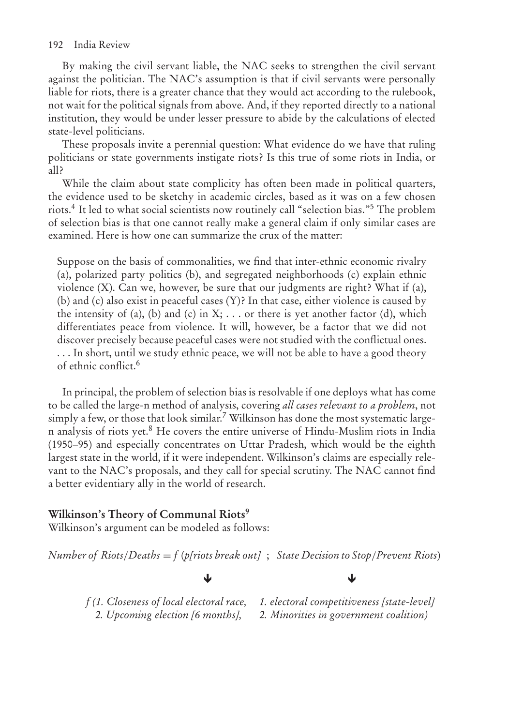## 192 India Review

By making the civil servant liable, the NAC seeks to strengthen the civil servant against the politician. The NAC's assumption is that if civil servants were personally liable for riots, there is a greater chance that they would act according to the rulebook, not wait for the political signals from above. And, if they reported directly to a national institution, they would be under lesser pressure to abide by the calculations of elected state-level politicians.

These proposals invite a perennial question: What evidence do we have that ruling politicians or state governments instigate riots? Is this true of some riots in India, or all?

While the claim about state complicity has often been made in political quarters, the evidence used to be sketchy in academic circles, based as it was on a few chosen riots.<sup>4</sup> It led to what social scientists now routinely call "selection bias."5 The problem of selection bias is that one cannot really make a general claim if only similar cases are examined. Here is how one can summarize the crux of the matter:

Suppose on the basis of commonalities, we find that inter-ethnic economic rivalry (a), polarized party politics (b), and segregated neighborhoods (c) explain ethnic violence (X). Can we, however, be sure that our judgments are right? What if (a), (b) and (c) also exist in peaceful cases (Y)? In that case, either violence is caused by the intensity of (a), (b) and (c) in  $X$ ;  $\dots$  or there is yet another factor (d), which differentiates peace from violence. It will, however, be a factor that we did not discover precisely because peaceful cases were not studied with the conflictual ones. . . . In short, until we study ethnic peace, we will not be able to have a good theory of ethnic conflict.<sup>6</sup>

In principal, the problem of selection bias is resolvable if one deploys what has come to be called the large-n method of analysis, covering *all cases relevant to a problem*, not simply a few, or those that look similar.<sup>7</sup> Wilkinson has done the most systematic largen analysis of riots yet.8 He covers the entire universe of Hindu-Muslim riots in India (1950–95) and especially concentrates on Uttar Pradesh, which would be the eighth largest state in the world, if it were independent. Wilkinson's claims are especially relevant to the NAC's proposals, and they call for special scrutiny. The NAC cannot find a better evidentiary ally in the world of research.

# **Wilkinson's Theory of Communal Riots<sup>9</sup>**

Wilkinson's argument can be modeled as follows:

*Number of Riots/Deaths* = *f* (*p[riots break out]* ; *State Decision to Stop/Prevent Riots*)

↓

↓

*f (1. Closeness of local electoral race, 1. electoral competitiveness [state-level] 2. Upcoming election [6 months], 2. Minorities in government coalition)*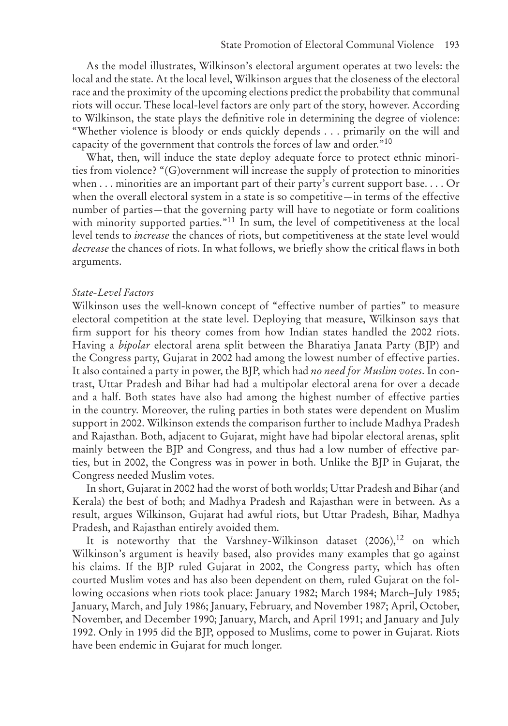As the model illustrates, Wilkinson's electoral argument operates at two levels: the local and the state. At the local level, Wilkinson argues that the closeness of the electoral race and the proximity of the upcoming elections predict the probability that communal riots will occur. These local-level factors are only part of the story, however. According to Wilkinson, the state plays the definitive role in determining the degree of violence: "Whether violence is bloody or ends quickly depends . . . primarily on the will and capacity of the government that controls the forces of law and order."10

What, then, will induce the state deploy adequate force to protect ethnic minorities from violence? "(G)overnment will increase the supply of protection to minorities when . . . minorities are an important part of their party's current support base. . . . Or when the overall electoral system in a state is so competitive—in terms of the effective number of parties—that the governing party will have to negotiate or form coalitions with minority supported parties."<sup>11</sup> In sum, the level of competitiveness at the local level tends to *increase* the chances of riots, but competitiveness at the state level would *decrease* the chances of riots. In what follows, we briefly show the critical flaws in both arguments.

#### *State-Level Factors*

Wilkinson uses the well-known concept of "effective number of parties" to measure electoral competition at the state level. Deploying that measure, Wilkinson says that firm support for his theory comes from how Indian states handled the 2002 riots. Having a *bipolar* electoral arena split between the Bharatiya Janata Party (BJP) and the Congress party, Gujarat in 2002 had among the lowest number of effective parties. It also contained a party in power, the BJP, which had *no need for Muslim votes*. In contrast, Uttar Pradesh and Bihar had had a multipolar electoral arena for over a decade and a half. Both states have also had among the highest number of effective parties in the country. Moreover, the ruling parties in both states were dependent on Muslim support in 2002. Wilkinson extends the comparison further to include Madhya Pradesh and Rajasthan. Both, adjacent to Gujarat, might have had bipolar electoral arenas, split mainly between the BJP and Congress, and thus had a low number of effective parties, but in 2002, the Congress was in power in both. Unlike the BJP in Gujarat, the Congress needed Muslim votes.

In short, Gujarat in 2002 had the worst of both worlds; Uttar Pradesh and Bihar (and Kerala) the best of both; and Madhya Pradesh and Rajasthan were in between. As a result, argues Wilkinson, Gujarat had awful riots, but Uttar Pradesh, Bihar, Madhya Pradesh, and Rajasthan entirely avoided them.

It is noteworthy that the Varshney-Wilkinson dataset  $(2006)$ ,<sup>12</sup> on which Wilkinson's argument is heavily based, also provides many examples that go against his claims. If the BJP ruled Gujarat in 2002, the Congress party, which has often courted Muslim votes and has also been dependent on them*,* ruled Gujarat on the following occasions when riots took place: January 1982; March 1984; March–July 1985; January, March, and July 1986; January, February, and November 1987; April, October, November, and December 1990; January, March, and April 1991; and January and July 1992. Only in 1995 did the BJP, opposed to Muslims, come to power in Gujarat. Riots have been endemic in Gujarat for much longer.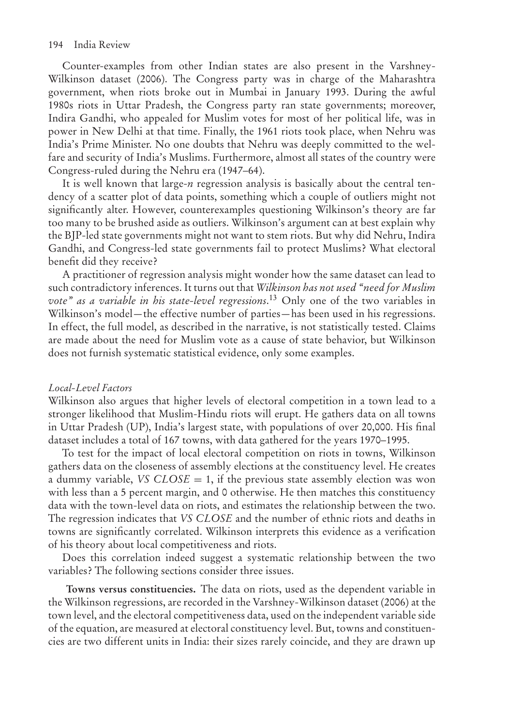#### 194 India Review

Counter-examples from other Indian states are also present in the Varshney-Wilkinson dataset (2006). The Congress party was in charge of the Maharashtra government, when riots broke out in Mumbai in January 1993. During the awful 1980s riots in Uttar Pradesh, the Congress party ran state governments; moreover, Indira Gandhi, who appealed for Muslim votes for most of her political life, was in power in New Delhi at that time. Finally, the 1961 riots took place, when Nehru was India's Prime Minister. No one doubts that Nehru was deeply committed to the welfare and security of India's Muslims. Furthermore, almost all states of the country were Congress-ruled during the Nehru era (1947–64).

It is well known that large-*n* regression analysis is basically about the central tendency of a scatter plot of data points, something which a couple of outliers might not significantly alter. However, counterexamples questioning Wilkinson's theory are far too many to be brushed aside as outliers. Wilkinson's argument can at best explain why the BJP-led state governments might not want to stem riots. But why did Nehru, Indira Gandhi, and Congress-led state governments fail to protect Muslims? What electoral benefit did they receive?

A practitioner of regression analysis might wonder how the same dataset can lead to such contradictory inferences. It turns out that *Wilkinson has not used "need for Muslim vote" as a variable in his state-level regressions*. <sup>13</sup> Only one of the two variables in Wilkinson's model—the effective number of parties—has been used in his regressions. In effect, the full model, as described in the narrative, is not statistically tested. Claims are made about the need for Muslim vote as a cause of state behavior, but Wilkinson does not furnish systematic statistical evidence, only some examples.

## *Local-Level Factors*

Wilkinson also argues that higher levels of electoral competition in a town lead to a stronger likelihood that Muslim-Hindu riots will erupt. He gathers data on all towns in Uttar Pradesh (UP), India's largest state, with populations of over 20,000. His final dataset includes a total of 167 towns, with data gathered for the years 1970–1995.

To test for the impact of local electoral competition on riots in towns, Wilkinson gathers data on the closeness of assembly elections at the constituency level. He creates a dummy variable, *VS CLOSE* = 1, if the previous state assembly election was won with less than a 5 percent margin, and 0 otherwise. He then matches this constituency data with the town-level data on riots, and estimates the relationship between the two. The regression indicates that *VS CLOSE* and the number of ethnic riots and deaths in towns are significantly correlated. Wilkinson interprets this evidence as a verification of his theory about local competitiveness and riots.

Does this correlation indeed suggest a systematic relationship between the two variables? The following sections consider three issues.

**Towns versus constituencies.** The data on riots, used as the dependent variable in the Wilkinson regressions, are recorded in the Varshney-Wilkinson dataset (2006) at the town level, and the electoral competitiveness data, used on the independent variable side of the equation, are measured at electoral constituency level. But, towns and constituencies are two different units in India: their sizes rarely coincide, and they are drawn up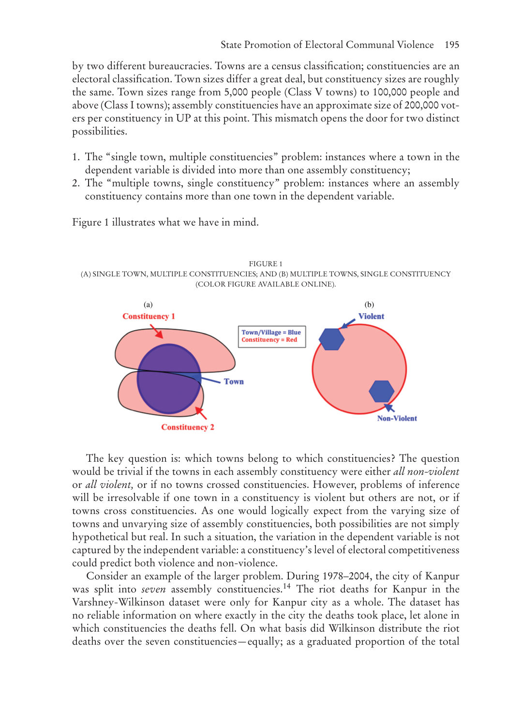by two different bureaucracies. Towns are a census classification; constituencies are an electoral classification. Town sizes differ a great deal, but constituency sizes are roughly the same. Town sizes range from 5,000 people (Class V towns) to 100,000 people and above (Class I towns); assembly constituencies have an approximate size of 200,000 voters per constituency in UP at this point. This mismatch opens the door for two distinct possibilities.

- 1. The "single town, multiple constituencies" problem: instances where a town in the dependent variable is divided into more than one assembly constituency;
- 2. The "multiple towns, single constituency" problem: instances where an assembly constituency contains more than one town in the dependent variable.



Figure 1 illustrates what we have in mind.

The key question is: which towns belong to which constituencies? The question would be trivial if the towns in each assembly constituency were either *all non-violent* or *all violent,* or if no towns crossed constituencies. However, problems of inference will be irresolvable if one town in a constituency is violent but others are not, or if towns cross constituencies. As one would logically expect from the varying size of towns and unvarying size of assembly constituencies, both possibilities are not simply hypothetical but real. In such a situation, the variation in the dependent variable is not captured by the independent variable: a constituency's level of electoral competitiveness could predict both violence and non-violence.

Consider an example of the larger problem. During 1978–2004, the city of Kanpur was split into *seven* assembly constituencies.<sup>14</sup> The riot deaths for Kanpur in the Varshney-Wilkinson dataset were only for Kanpur city as a whole. The dataset has no reliable information on where exactly in the city the deaths took place, let alone in which constituencies the deaths fell. On what basis did Wilkinson distribute the riot deaths over the seven constituencies—equally; as a graduated proportion of the total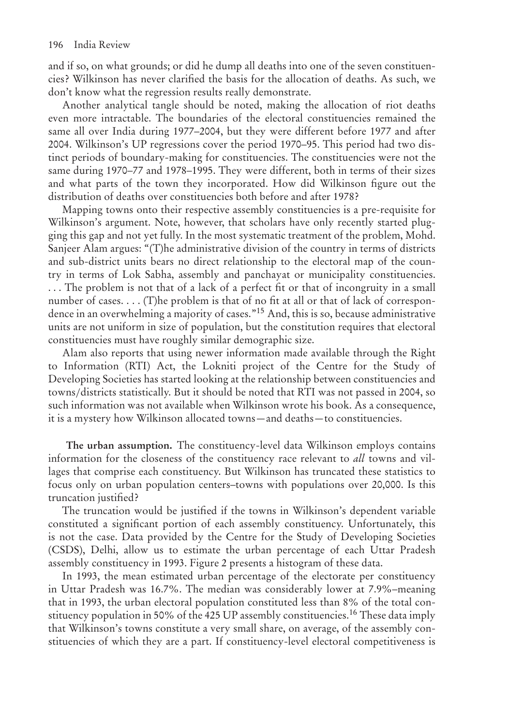and if so, on what grounds; or did he dump all deaths into one of the seven constituencies? Wilkinson has never clarified the basis for the allocation of deaths. As such, we don't know what the regression results really demonstrate.

Another analytical tangle should be noted, making the allocation of riot deaths even more intractable. The boundaries of the electoral constituencies remained the same all over India during 1977–2004, but they were different before 1977 and after 2004. Wilkinson's UP regressions cover the period 1970–95. This period had two distinct periods of boundary-making for constituencies. The constituencies were not the same during 1970–77 and 1978–1995. They were different, both in terms of their sizes and what parts of the town they incorporated. How did Wilkinson figure out the distribution of deaths over constituencies both before and after 1978?

Mapping towns onto their respective assembly constituencies is a pre-requisite for Wilkinson's argument. Note, however, that scholars have only recently started plugging this gap and not yet fully. In the most systematic treatment of the problem, Mohd. Sanjeer Alam argues: "(T)he administrative division of the country in terms of districts and sub-district units bears no direct relationship to the electoral map of the country in terms of Lok Sabha, assembly and panchayat or municipality constituencies. . . . The problem is not that of a lack of a perfect fit or that of incongruity in a small number of cases. . . . (T)he problem is that of no fit at all or that of lack of correspondence in an overwhelming a majority of cases."<sup>15</sup> And, this is so, because administrative units are not uniform in size of population, but the constitution requires that electoral constituencies must have roughly similar demographic size.

Alam also reports that using newer information made available through the Right to Information (RTI) Act, the Lokniti project of the Centre for the Study of Developing Societies has started looking at the relationship between constituencies and towns*/*districts statistically. But it should be noted that RTI was not passed in 2004, so such information was not available when Wilkinson wrote his book. As a consequence, it is a mystery how Wilkinson allocated towns—and deaths—to constituencies.

**The urban assumption.** The constituency-level data Wilkinson employs contains information for the closeness of the constituency race relevant to *all* towns and villages that comprise each constituency. But Wilkinson has truncated these statistics to focus only on urban population centers–towns with populations over 20,000. Is this truncation justified?

The truncation would be justified if the towns in Wilkinson's dependent variable constituted a significant portion of each assembly constituency. Unfortunately, this is not the case. Data provided by the Centre for the Study of Developing Societies (CSDS), Delhi, allow us to estimate the urban percentage of each Uttar Pradesh assembly constituency in 1993. Figure 2 presents a histogram of these data.

In 1993, the mean estimated urban percentage of the electorate per constituency in Uttar Pradesh was 16.7%. The median was considerably lower at 7.9%–meaning that in 1993, the urban electoral population constituted less than 8% of the total constituency population in 50% of the 425 UP assembly constituencies.16 These data imply that Wilkinson's towns constitute a very small share, on average, of the assembly constituencies of which they are a part. If constituency-level electoral competitiveness is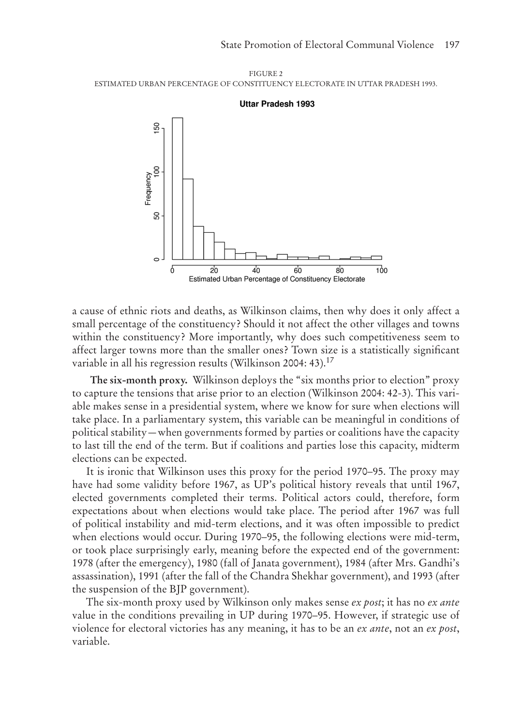FIGURE 2 ESTIMATED URBAN PERCENTAGE OF CONSTITUENCY ELECTORATE IN UTTAR PRADESH 1993.



**Uttar Pradesh 1993** 

a cause of ethnic riots and deaths, as Wilkinson claims, then why does it only affect a small percentage of the constituency? Should it not affect the other villages and towns within the constituency? More importantly, why does such competitiveness seem to affect larger towns more than the smaller ones? Town size is a statistically significant variable in all his regression results (Wilkinson 2004: 43).<sup>17</sup>

**The six-month proxy.** Wilkinson deploys the "six months prior to election" proxy to capture the tensions that arise prior to an election (Wilkinson 2004: 42-3). This variable makes sense in a presidential system, where we know for sure when elections will take place. In a parliamentary system, this variable can be meaningful in conditions of political stability—when governments formed by parties or coalitions have the capacity to last till the end of the term. But if coalitions and parties lose this capacity, midterm elections can be expected.

It is ironic that Wilkinson uses this proxy for the period 1970–95. The proxy may have had some validity before 1967, as UP's political history reveals that until 1967, elected governments completed their terms. Political actors could, therefore, form expectations about when elections would take place. The period after 1967 was full of political instability and mid-term elections, and it was often impossible to predict when elections would occur. During 1970–95, the following elections were mid-term, or took place surprisingly early, meaning before the expected end of the government: 1978 (after the emergency), 1980 (fall of Janata government), 1984 (after Mrs. Gandhi's assassination), 1991 (after the fall of the Chandra Shekhar government), and 1993 (after the suspension of the BJP government).

The six-month proxy used by Wilkinson only makes sense *ex post*; it has no *ex ante* value in the conditions prevailing in UP during 1970–95. However, if strategic use of violence for electoral victories has any meaning, it has to be an *ex ante*, not an *ex post*, variable.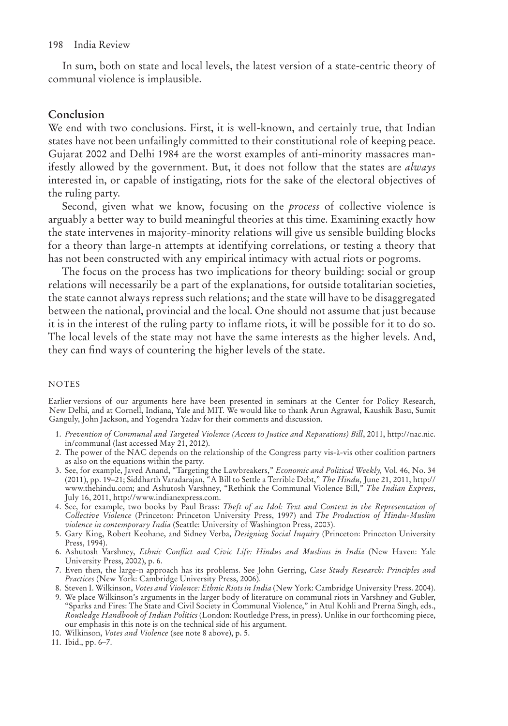#### 198 India Review

In sum, both on state and local levels, the latest version of a state-centric theory of communal violence is implausible.

# **Conclusion**

We end with two conclusions. First, it is well-known, and certainly true, that Indian states have not been unfailingly committed to their constitutional role of keeping peace. Gujarat 2002 and Delhi 1984 are the worst examples of anti-minority massacres manifestly allowed by the government. But, it does not follow that the states are *always* interested in, or capable of instigating, riots for the sake of the electoral objectives of the ruling party.

Second, given what we know, focusing on the *process* of collective violence is arguably a better way to build meaningful theories at this time. Examining exactly how the state intervenes in majority-minority relations will give us sensible building blocks for a theory than large-n attempts at identifying correlations, or testing a theory that has not been constructed with any empirical intimacy with actual riots or pogroms.

The focus on the process has two implications for theory building: social or group relations will necessarily be a part of the explanations, for outside totalitarian societies, the state cannot always repress such relations; and the state will have to be disaggregated between the national, provincial and the local. One should not assume that just because it is in the interest of the ruling party to inflame riots, it will be possible for it to do so. The local levels of the state may not have the same interests as the higher levels. And, they can find ways of countering the higher levels of the state.

#### **NOTES**

Earlier versions of our arguments here have been presented in seminars at the Center for Policy Research, New Delhi, and at Cornell, Indiana, Yale and MIT. We would like to thank Arun Agrawal, Kaushik Basu, Sumit Ganguly, John Jackson, and Yogendra Yadav for their comments and discussion.

- 1. *Prevention of Communal and Targeted Violence (Access to Justice and Reparations) Bill*, 2011, http://nac.nic. in/communal (last accessed May 21, 2012).
- 2. The power of the NAC depends on the relationship of the Congress party vis-à-vis other coalition partners as also on the equations within the party.
- 3. See, for example, Javed Anand, "Targeting the Lawbreakers," *Economic and Political Weekly,* Vol. 46, No. 34 (2011), pp. 19–21; Siddharth Varadarajan, "A Bill to Settle a Terrible Debt," *The Hindu,* June 21, 2011, http:// www.thehindu.com; and Ashutosh Varshney, "Rethink the Communal Violence Bill," *The Indian Express*, July 16, 2011, http://www.indianexpress.com.
- 4. See, for example, two books by Paul Brass: *Theft of an Idol: Text and Context in the Representation of Collective Violence* (Princeton: Princeton University Press, 1997) and *The Production of Hindu-Muslim violence in contemporary India* (Seattle: University of Washington Press, 2003).
- 5. Gary King, Robert Keohane, and Sidney Verba, *Designing Social Inquiry* (Princeton: Princeton University Press, 1994).
- 6. Ashutosh Varshney, *Ethnic Conflict and Civic Life: Hindus and Muslims in India* (New Haven: Yale University Press, 2002), p. 6.
- 7. Even then, the large-n approach has its problems. See John Gerring, *Case Study Research: Principles and Practices* (New York: Cambridge University Press, 2006).
- 8. Steven I. Wilkinson, *Votes and Violence: Ethnic Riots in India* (New York: Cambridge University Press. 2004).
- 9. We place Wilkinson's arguments in the larger body of literature on communal riots in Varshney and Gubler, "Sparks and Fires: The State and Civil Society in Communal Violence," in Atul Kohli and Prerna Singh, eds., *Routledge Handbook of Indian Politics* (London: Routledge Press, in press). Unlike in our forthcoming piece, our emphasis in this note is on the technical side of his argument.
- 10. Wilkinson, *Votes and Violence* (see note 8 above), p. 5.
- 11. Ibid., pp. 6–7.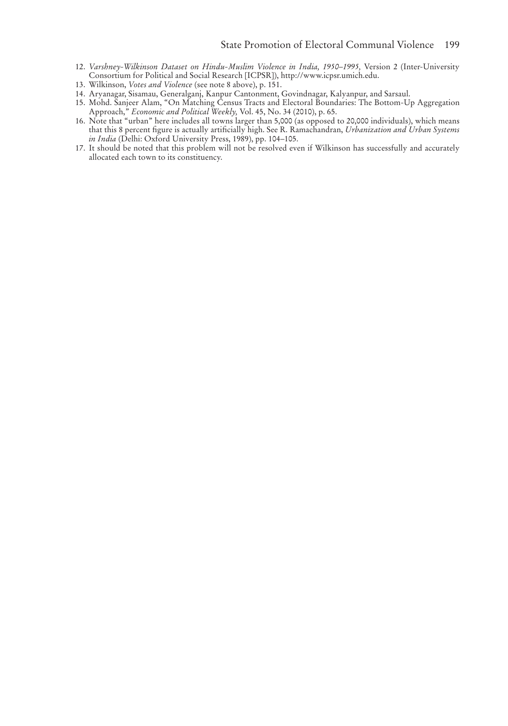- 12. *Varshney-Wilkinson Dataset on Hindu-Muslim Violence in India, 1950–1995,* Version 2 (Inter-University Consortium for Political and Social Research [ICPSR]), http://www.icpsr.umich.edu.
- 13. Wilkinson, *Votes and Violence* (see note 8 above), p. 151.
- 14. Aryanagar, Sisamau, Generalganj, Kanpur Cantonment, Govindnagar, Kalyanpur, and Sarsaul.
- 15. Mohd. Sanjeer Alam, "On Matching Census Tracts and Electoral Boundaries: The Bottom-Up Aggregation Approach," *Economic and Political Weekly,* Vol. 45, No. 34 (2010), p. 65.
- 16. Note that "urban" here includes all towns larger than 5,000 (as opposed to 20,000 individuals), which means that this 8 percent figure is actually artificially high. See R. Ramachandran, *Urbanization and Urban Systems in India* (Delhi: Oxford University Press, 1989), pp. 104–105.
- 17. It should be noted that this problem will not be resolved even if Wilkinson has successfully and accurately allocated each town to its constituency.